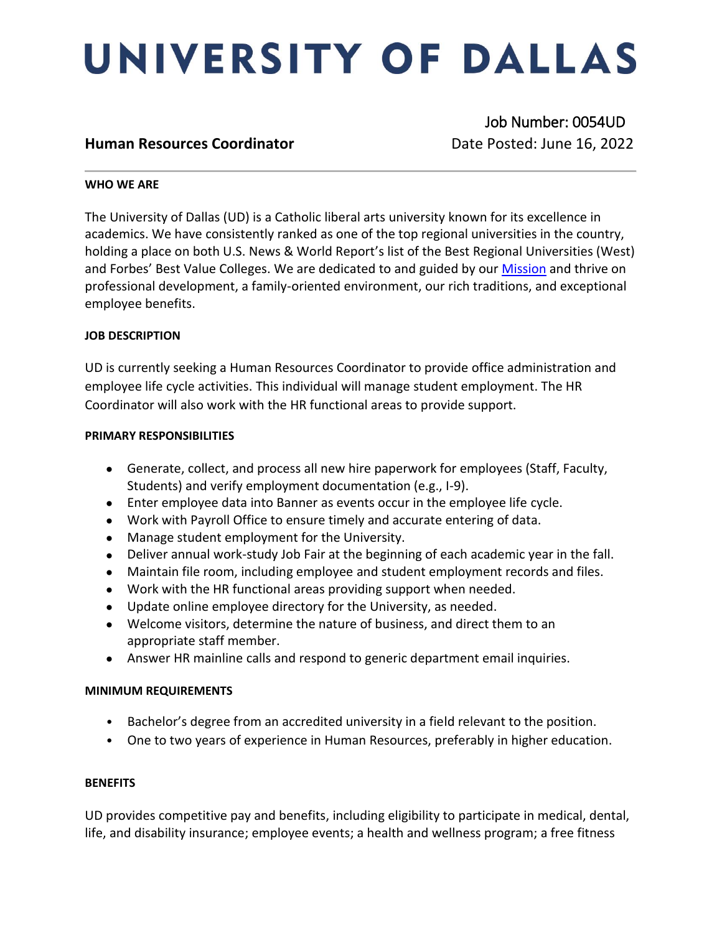# UNIVERSITY OF DALLAS

### **Human Resources Coordinator Date Posted: June 16, 2022**

Job Number: 0054UD

#### **WHO WE ARE**

The University of Dallas (UD) is a Catholic liberal arts university known for its excellence in academics. We have consistently ranked as one of the top regional universities in the country, holding a place on both U.S. News & World Report's list of the Best Regional Universities (West) and Forbes' Best Value Colleges. We are dedicated to and guided by our [Mission](https://www.udallas.edu/about/mission.php) and thrive on professional development, a family-oriented environment, our rich traditions, and exceptional employee benefits.

#### **JOB DESCRIPTION**

UD is currently seeking a Human Resources Coordinator to provide office administration and employee life cycle activities. This individual will manage student employment. The HR Coordinator will also work with the HR functional areas to provide support.

#### **PRIMARY RESPONSIBILITIES**

- Generate, collect, and process all new hire paperwork for employees (Staff, Faculty, Students) and verify employment documentation (e.g., I-9).
- Enter employee data into Banner as events occur in the employee life cycle.
- Work with Payroll Office to ensure timely and accurate entering of data.
- Manage student employment for the University.
- Deliver annual work-study Job Fair at the beginning of each academic year in the fall.
- Maintain file room, including employee and student employment records and files.
- Work with the HR functional areas providing support when needed.
- Update online employee directory for the University, as needed.
- Welcome visitors, determine the nature of business, and direct them to an appropriate staff member.
- Answer HR mainline calls and respond to generic department email inquiries.

#### **MINIMUM REQUIREMENTS**

- Bachelor's degree from an accredited university in a field relevant to the position.
- One to two years of experience in Human Resources, preferably in higher education.

#### **BENEFITS**

UD provides competitive pay and benefits, including eligibility to participate in medical, dental, life, and disability insurance; employee events; a health and wellness program; a free fitness